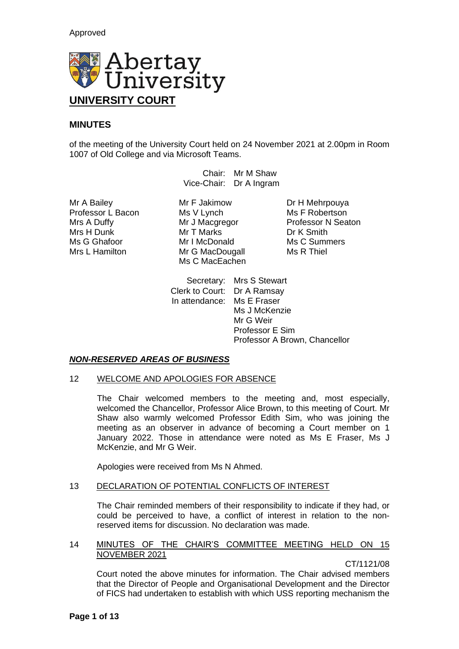

# **MINUTES**

of the meeting of the University Court held on 24 November 2021 at 2.00pm in Room 1007 of Old College and via Microsoft Teams.

> Chair: Mr M Shaw Vice-Chair: Dr A Ingram

Professor L Bacon Ms V Lynch Ms F Robertson Mrs H Dunk Mr T Marks Dr K Smith Ms G Ghafoor **Mr I McDonald** Ms C Summers<br>
Mr G MacDougall Mr S Ms R Thiel

Mr A Bailey **Mr F Jakimow** Dr H Mehrpouya<br>
Professor L Bacon Ms V Lynch Ms T Robertson Mr G MacDougall Ms C MacEachen

Mrs A Duffy **Mr J Macgregor** Professor N Seaton

Secretary: Mrs S Stewart Clerk to Court: Dr A Ramsay In attendance: Ms E Fraser Ms J McKenzie Mr G Weir Professor E Sim Professor A Brown, Chancellor

# *NON-RESERVED AREAS OF BUSINESS*

# 12 WELCOME AND APOLOGIES FOR ABSENCE

The Chair welcomed members to the meeting and, most especially, welcomed the Chancellor, Professor Alice Brown, to this meeting of Court. Mr Shaw also warmly welcomed Professor Edith Sim, who was joining the meeting as an observer in advance of becoming a Court member on 1 January 2022. Those in attendance were noted as Ms E Fraser, Ms J McKenzie, and Mr G Weir.

Apologies were received from Ms N Ahmed.

# 13 DECLARATION OF POTENTIAL CONFLICTS OF INTEREST

The Chair reminded members of their responsibility to indicate if they had, or could be perceived to have, a conflict of interest in relation to the nonreserved items for discussion. No declaration was made.

# 14 MINUTES OF THE CHAIR'S COMMITTEE MEETING HELD ON 15 NOVEMBER 2021

CT/1121/08

Court noted the above minutes for information. The Chair advised members that the Director of People and Organisational Development and the Director of FICS had undertaken to establish with which USS reporting mechanism the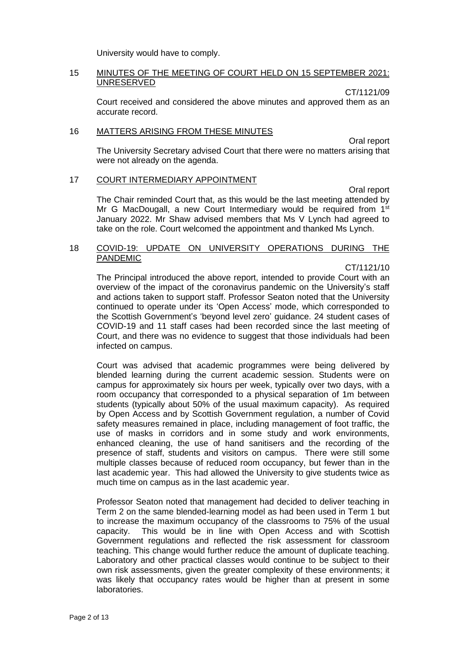University would have to comply.

### 15 MINUTES OF THE MEETING OF COURT HELD ON 15 SEPTEMBER 2021: UNRESERVED

CT/1121/09

Court received and considered the above minutes and approved them as an accurate record.

### 16 MATTERS ARISING FROM THESE MINUTES

Oral report The University Secretary advised Court that there were no matters arising that were not already on the agenda.

## 17 COURT INTERMEDIARY APPOINTMENT

Oral report The Chair reminded Court that, as this would be the last meeting attended by Mr G MacDougall, a new Court Intermediary would be required from 1<sup>st</sup> January 2022. Mr Shaw advised members that Ms V Lynch had agreed to take on the role. Court welcomed the appointment and thanked Ms Lynch.

### 18 COVID-19: UPDATE ON UNIVERSITY OPERATIONS DURING THE PANDEMIC

CT/1121/10 The Principal introduced the above report, intended to provide Court with an overview of the impact of the coronavirus pandemic on the University's staff and actions taken to support staff. Professor Seaton noted that the University continued to operate under its 'Open Access' mode, which corresponded to the Scottish Government's 'beyond level zero' guidance. 24 student cases of COVID-19 and 11 staff cases had been recorded since the last meeting of Court, and there was no evidence to suggest that those individuals had been infected on campus.

Court was advised that academic programmes were being delivered by blended learning during the current academic session. Students were on campus for approximately six hours per week, typically over two days, with a room occupancy that corresponded to a physical separation of 1m between students (typically about 50% of the usual maximum capacity). As required by Open Access and by Scottish Government regulation, a number of Covid safety measures remained in place, including management of foot traffic, the use of masks in corridors and in some study and work environments, enhanced cleaning, the use of hand sanitisers and the recording of the presence of staff, students and visitors on campus. There were still some multiple classes because of reduced room occupancy, but fewer than in the last academic year. This had allowed the University to give students twice as much time on campus as in the last academic year.

Professor Seaton noted that management had decided to deliver teaching in Term 2 on the same blended-learning model as had been used in Term 1 but to increase the maximum occupancy of the classrooms to 75% of the usual capacity. This would be in line with Open Access and with Scottish Government regulations and reflected the risk assessment for classroom teaching. This change would further reduce the amount of duplicate teaching. Laboratory and other practical classes would continue to be subject to their own risk assessments, given the greater complexity of these environments; it was likely that occupancy rates would be higher than at present in some laboratories.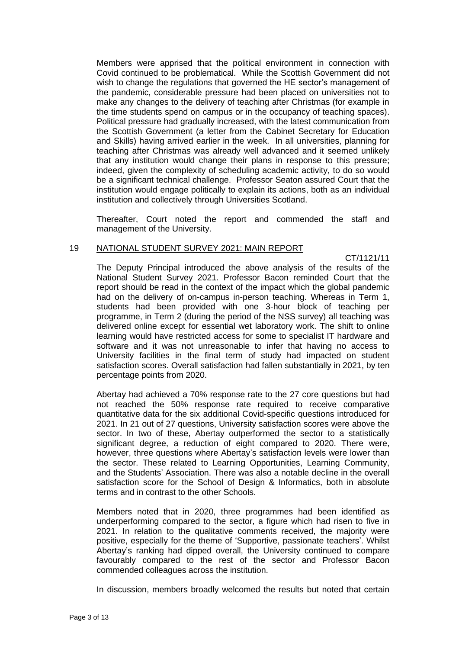Members were apprised that the political environment in connection with Covid continued to be problematical. While the Scottish Government did not wish to change the regulations that governed the HE sector's management of the pandemic, considerable pressure had been placed on universities not to make any changes to the delivery of teaching after Christmas (for example in the time students spend on campus or in the occupancy of teaching spaces). Political pressure had gradually increased, with the latest communication from the Scottish Government (a letter from the Cabinet Secretary for Education and Skills) having arrived earlier in the week. In all universities, planning for teaching after Christmas was already well advanced and it seemed unlikely that any institution would change their plans in response to this pressure; indeed, given the complexity of scheduling academic activity, to do so would be a significant technical challenge. Professor Seaton assured Court that the institution would engage politically to explain its actions, both as an individual institution and collectively through Universities Scotland.

Thereafter, Court noted the report and commended the staff and management of the University.

#### 19 NATIONAL STUDENT SURVEY 2021: MAIN REPORT

CT/1121/11

The Deputy Principal introduced the above analysis of the results of the National Student Survey 2021. Professor Bacon reminded Court that the report should be read in the context of the impact which the global pandemic had on the delivery of on-campus in-person teaching. Whereas in Term 1, students had been provided with one 3-hour block of teaching per programme, in Term 2 (during the period of the NSS survey) all teaching was delivered online except for essential wet laboratory work. The shift to online learning would have restricted access for some to specialist IT hardware and software and it was not unreasonable to infer that having no access to University facilities in the final term of study had impacted on student satisfaction scores. Overall satisfaction had fallen substantially in 2021, by ten percentage points from 2020.

Abertay had achieved a 70% response rate to the 27 core questions but had not reached the 50% response rate required to receive comparative quantitative data for the six additional Covid-specific questions introduced for 2021. In 21 out of 27 questions, University satisfaction scores were above the sector. In two of these, Abertay outperformed the sector to a statistically significant degree, a reduction of eight compared to 2020. There were, however, three questions where Abertay's satisfaction levels were lower than the sector. These related to Learning Opportunities, Learning Community, and the Students' Association. There was also a notable decline in the overall satisfaction score for the School of Design & Informatics, both in absolute terms and in contrast to the other Schools.

Members noted that in 2020, three programmes had been identified as underperforming compared to the sector, a figure which had risen to five in 2021. In relation to the qualitative comments received, the majority were positive, especially for the theme of 'Supportive, passionate teachers'. Whilst Abertay's ranking had dipped overall, the University continued to compare favourably compared to the rest of the sector and Professor Bacon commended colleagues across the institution.

In discussion, members broadly welcomed the results but noted that certain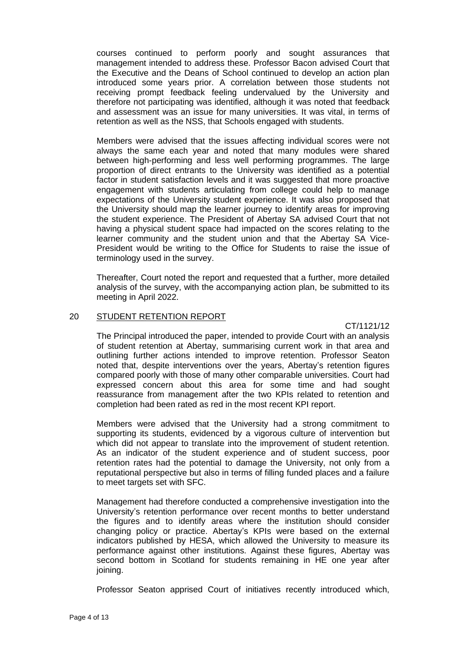courses continued to perform poorly and sought assurances that management intended to address these. Professor Bacon advised Court that the Executive and the Deans of School continued to develop an action plan introduced some years prior. A correlation between those students not receiving prompt feedback feeling undervalued by the University and therefore not participating was identified, although it was noted that feedback and assessment was an issue for many universities. It was vital, in terms of retention as well as the NSS, that Schools engaged with students.

Members were advised that the issues affecting individual scores were not always the same each year and noted that many modules were shared between high-performing and less well performing programmes. The large proportion of direct entrants to the University was identified as a potential factor in student satisfaction levels and it was suggested that more proactive engagement with students articulating from college could help to manage expectations of the University student experience. It was also proposed that the University should map the learner journey to identify areas for improving the student experience. The President of Abertay SA advised Court that not having a physical student space had impacted on the scores relating to the learner community and the student union and that the Abertay SA Vice-President would be writing to the Office for Students to raise the issue of terminology used in the survey.

Thereafter, Court noted the report and requested that a further, more detailed analysis of the survey, with the accompanying action plan, be submitted to its meeting in April 2022.

# 20 STUDENT RETENTION REPORT

CT/1121/12

The Principal introduced the paper, intended to provide Court with an analysis of student retention at Abertay, summarising current work in that area and outlining further actions intended to improve retention. Professor Seaton noted that, despite interventions over the years, Abertay's retention figures compared poorly with those of many other comparable universities. Court had expressed concern about this area for some time and had sought reassurance from management after the two KPIs related to retention and completion had been rated as red in the most recent KPI report.

Members were advised that the University had a strong commitment to supporting its students, evidenced by a vigorous culture of intervention but which did not appear to translate into the improvement of student retention. As an indicator of the student experience and of student success, poor retention rates had the potential to damage the University, not only from a reputational perspective but also in terms of filling funded places and a failure to meet targets set with SFC.

Management had therefore conducted a comprehensive investigation into the University's retention performance over recent months to better understand the figures and to identify areas where the institution should consider changing policy or practice. Abertay's KPIs were based on the external indicators published by HESA, which allowed the University to measure its performance against other institutions. Against these figures, Abertay was second bottom in Scotland for students remaining in HE one year after joining.

Professor Seaton apprised Court of initiatives recently introduced which,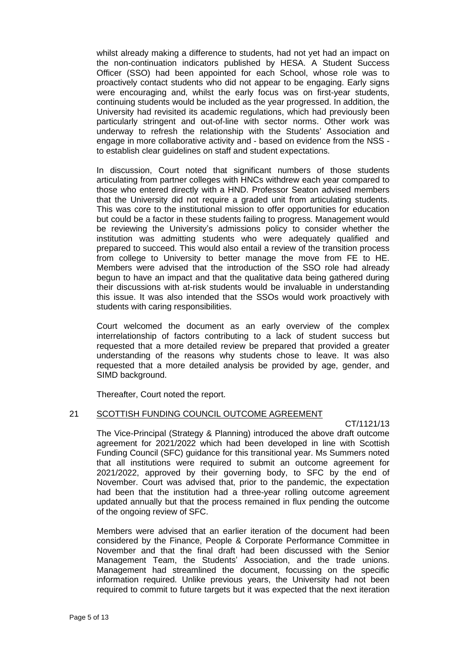whilst already making a difference to students, had not yet had an impact on the non-continuation indicators published by HESA. A Student Success Officer (SSO) had been appointed for each School, whose role was to proactively contact students who did not appear to be engaging. Early signs were encouraging and, whilst the early focus was on first-year students, continuing students would be included as the year progressed. In addition, the University had revisited its academic regulations, which had previously been particularly stringent and out-of-line with sector norms. Other work was underway to refresh the relationship with the Students' Association and engage in more collaborative activity and - based on evidence from the NSS to establish clear guidelines on staff and student expectations.

In discussion, Court noted that significant numbers of those students articulating from partner colleges with HNCs withdrew each year compared to those who entered directly with a HND. Professor Seaton advised members that the University did not require a graded unit from articulating students. This was core to the institutional mission to offer opportunities for education but could be a factor in these students failing to progress. Management would be reviewing the University's admissions policy to consider whether the institution was admitting students who were adequately qualified and prepared to succeed. This would also entail a review of the transition process from college to University to better manage the move from FE to HE. Members were advised that the introduction of the SSO role had already begun to have an impact and that the qualitative data being gathered during their discussions with at-risk students would be invaluable in understanding this issue. It was also intended that the SSOs would work proactively with students with caring responsibilities.

Court welcomed the document as an early overview of the complex interrelationship of factors contributing to a lack of student success but requested that a more detailed review be prepared that provided a greater understanding of the reasons why students chose to leave. It was also requested that a more detailed analysis be provided by age, gender, and SIMD background.

Thereafter, Court noted the report.

# 21 SCOTTISH FUNDING COUNCIL OUTCOME AGREEMENT

CT/1121/13

The Vice-Principal (Strategy & Planning) introduced the above draft outcome agreement for 2021/2022 which had been developed in line with Scottish Funding Council (SFC) guidance for this transitional year. Ms Summers noted that all institutions were required to submit an outcome agreement for 2021/2022, approved by their governing body, to SFC by the end of November. Court was advised that, prior to the pandemic, the expectation had been that the institution had a three-year rolling outcome agreement updated annually but that the process remained in flux pending the outcome of the ongoing review of SFC.

Members were advised that an earlier iteration of the document had been considered by the Finance, People & Corporate Performance Committee in November and that the final draft had been discussed with the Senior Management Team, the Students' Association, and the trade unions. Management had streamlined the document, focussing on the specific information required. Unlike previous years, the University had not been required to commit to future targets but it was expected that the next iteration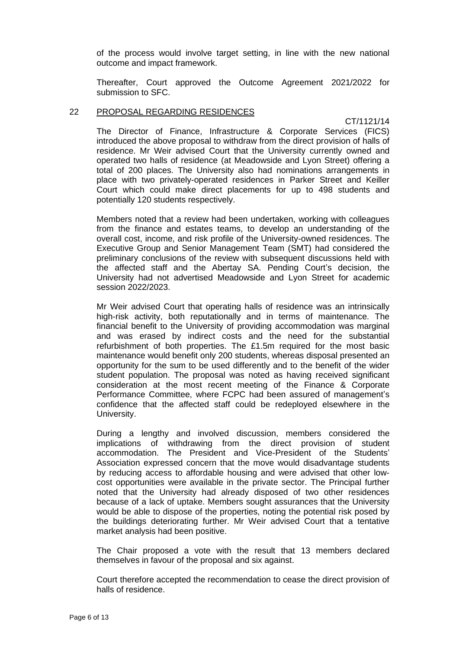of the process would involve target setting, in line with the new national outcome and impact framework.

Thereafter, Court approved the Outcome Agreement 2021/2022 for submission to SFC.

#### 22 PROPOSAL REGARDING RESIDENCES

CT/1121/14 The Director of Finance, Infrastructure & Corporate Services (FICS) introduced the above proposal to withdraw from the direct provision of halls of residence. Mr Weir advised Court that the University currently owned and operated two halls of residence (at Meadowside and Lyon Street) offering a total of 200 places. The University also had nominations arrangements in place with two privately-operated residences in Parker Street and Keiller Court which could make direct placements for up to 498 students and potentially 120 students respectively.

Members noted that a review had been undertaken, working with colleagues from the finance and estates teams, to develop an understanding of the overall cost, income, and risk profile of the University-owned residences. The Executive Group and Senior Management Team (SMT) had considered the preliminary conclusions of the review with subsequent discussions held with the affected staff and the Abertay SA. Pending Court's decision, the University had not advertised Meadowside and Lyon Street for academic session 2022/2023.

Mr Weir advised Court that operating halls of residence was an intrinsically high-risk activity, both reputationally and in terms of maintenance. The financial benefit to the University of providing accommodation was marginal and was erased by indirect costs and the need for the substantial refurbishment of both properties. The £1.5m required for the most basic maintenance would benefit only 200 students, whereas disposal presented an opportunity for the sum to be used differently and to the benefit of the wider student population. The proposal was noted as having received significant consideration at the most recent meeting of the Finance & Corporate Performance Committee, where FCPC had been assured of management's confidence that the affected staff could be redeployed elsewhere in the University.

During a lengthy and involved discussion, members considered the implications of withdrawing from the direct provision of student accommodation. The President and Vice-President of the Students' Association expressed concern that the move would disadvantage students by reducing access to affordable housing and were advised that other lowcost opportunities were available in the private sector. The Principal further noted that the University had already disposed of two other residences because of a lack of uptake. Members sought assurances that the University would be able to dispose of the properties, noting the potential risk posed by the buildings deteriorating further. Mr Weir advised Court that a tentative market analysis had been positive.

The Chair proposed a vote with the result that 13 members declared themselves in favour of the proposal and six against.

Court therefore accepted the recommendation to cease the direct provision of halls of residence.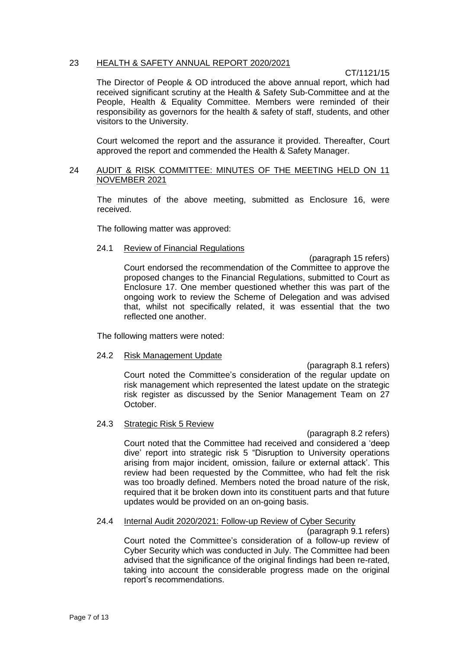### 23 HEALTH & SAFETY ANNUAL REPORT 2020/2021

CT/1121/15

The Director of People & OD introduced the above annual report, which had received significant scrutiny at the Health & Safety Sub-Committee and at the People, Health & Equality Committee. Members were reminded of their responsibility as governors for the health & safety of staff, students, and other visitors to the University.

Court welcomed the report and the assurance it provided. Thereafter, Court approved the report and commended the Health & Safety Manager.

# 24 AUDIT & RISK COMMITTEE: MINUTES OF THE MEETING HELD ON 11 NOVEMBER 2021

The minutes of the above meeting, submitted as Enclosure 16, were received.

The following matter was approved:

#### 24.1 Review of Financial Regulations

(paragraph 15 refers) Court endorsed the recommendation of the Committee to approve the proposed changes to the Financial Regulations, submitted to Court as Enclosure 17. One member questioned whether this was part of the ongoing work to review the Scheme of Delegation and was advised that, whilst not specifically related, it was essential that the two reflected one another.

The following matters were noted:

## 24.2 Risk Management Update

(paragraph 8.1 refers) Court noted the Committee's consideration of the regular update on risk management which represented the latest update on the strategic risk register as discussed by the Senior Management Team on 27 October.

### 24.3 Strategic Risk 5 Review

(paragraph 8.2 refers) Court noted that the Committee had received and considered a 'deep dive' report into strategic risk 5 "Disruption to University operations arising from major incident, omission, failure or external attack'. This review had been requested by the Committee, who had felt the risk was too broadly defined. Members noted the broad nature of the risk, required that it be broken down into its constituent parts and that future updates would be provided on an on-going basis.

#### 24.4 Internal Audit 2020/2021: Follow-up Review of Cyber Security

(paragraph 9.1 refers) Court noted the Committee's consideration of a follow-up review of Cyber Security which was conducted in July. The Committee had been advised that the significance of the original findings had been re-rated, taking into account the considerable progress made on the original report's recommendations.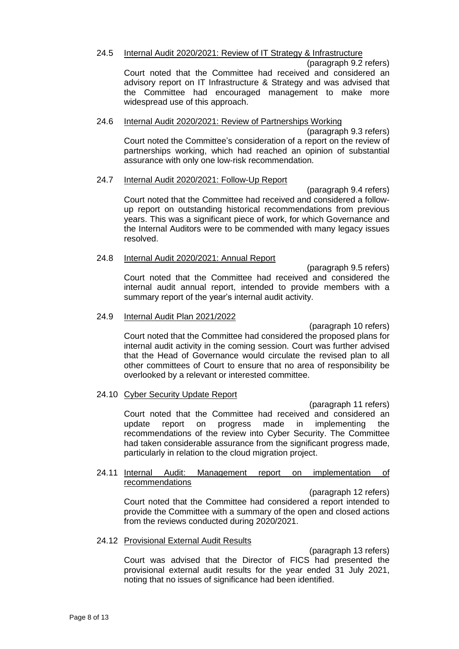## 24.5 Internal Audit 2020/2021: Review of IT Strategy & Infrastructure

(paragraph 9.2 refers)

Court noted that the Committee had received and considered an advisory report on IT Infrastructure & Strategy and was advised that the Committee had encouraged management to make more widespread use of this approach.

## 24.6 Internal Audit 2020/2021: Review of Partnerships Working

(paragraph 9.3 refers) Court noted the Committee's consideration of a report on the review of partnerships working, which had reached an opinion of substantial assurance with only one low-risk recommendation.

## 24.7 Internal Audit 2020/2021: Follow-Up Report

(paragraph 9.4 refers) Court noted that the Committee had received and considered a followup report on outstanding historical recommendations from previous years. This was a significant piece of work, for which Governance and the Internal Auditors were to be commended with many legacy issues resolved.

## 24.8 Internal Audit 2020/2021: Annual Report

(paragraph 9.5 refers) Court noted that the Committee had received and considered the internal audit annual report, intended to provide members with a summary report of the year's internal audit activity.

## 24.9 Internal Audit Plan 2021/2022

(paragraph 10 refers) Court noted that the Committee had considered the proposed plans for internal audit activity in the coming session. Court was further advised that the Head of Governance would circulate the revised plan to all other committees of Court to ensure that no area of responsibility be overlooked by a relevant or interested committee.

# 24.10 Cyber Security Update Report

(paragraph 11 refers) Court noted that the Committee had received and considered an update report on progress made in implementing the recommendations of the review into Cyber Security. The Committee had taken considerable assurance from the significant progress made. particularly in relation to the cloud migration project.

## 24.11 Internal Audit: Management report on implementation of recommendations

(paragraph 12 refers) Court noted that the Committee had considered a report intended to provide the Committee with a summary of the open and closed actions from the reviews conducted during 2020/2021.

### 24.12 Provisional External Audit Results

(paragraph 13 refers) Court was advised that the Director of FICS had presented the provisional external audit results for the year ended 31 July 2021, noting that no issues of significance had been identified.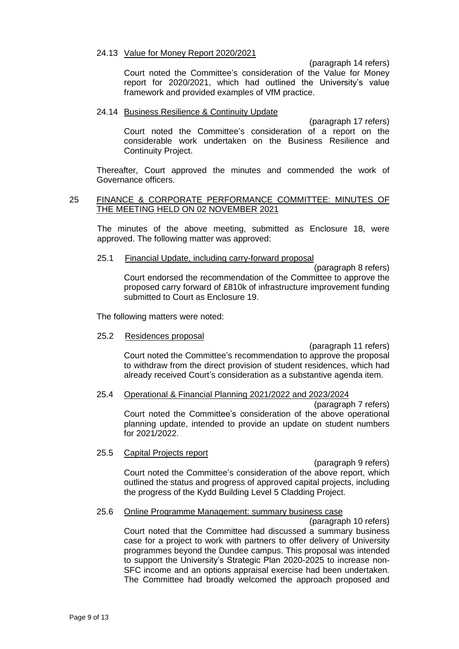#### 24.13 Value for Money Report 2020/2021

(paragraph 14 refers)

Court noted the Committee's consideration of the Value for Money report for 2020/2021, which had outlined the University's value framework and provided examples of VfM practice.

### 24.14 Business Resilience & Continuity Update

(paragraph 17 refers) Court noted the Committee's consideration of a report on the considerable work undertaken on the Business Resilience and Continuity Project.

Thereafter, Court approved the minutes and commended the work of Governance officers.

### 25 FINANCE & CORPORATE PERFORMANCE COMMITTEE: MINUTES OF THE MEETING HELD ON 02 NOVEMBER 2021

The minutes of the above meeting, submitted as Enclosure 18, were approved. The following matter was approved:

#### 25.1 Financial Update, including carry-forward proposal

(paragraph 8 refers) Court endorsed the recommendation of the Committee to approve the proposed carry forward of £810k of infrastructure improvement funding submitted to Court as Enclosure 19.

The following matters were noted:

25.2 Residences proposal

(paragraph 11 refers) Court noted the Committee's recommendation to approve the proposal to withdraw from the direct provision of student residences, which had already received Court's consideration as a substantive agenda item.

### 25.4 Operational & Financial Planning 2021/2022 and 2023/2024

(paragraph 7 refers) Court noted the Committee's consideration of the above operational planning update, intended to provide an update on student numbers for 2021/2022.

### 25.5 Capital Projects report

(paragraph 9 refers) Court noted the Committee's consideration of the above report, which outlined the status and progress of approved capital projects, including the progress of the Kydd Building Level 5 Cladding Project.

### 25.6 Online Programme Management: summary business case

(paragraph 10 refers) Court noted that the Committee had discussed a summary business case for a project to work with partners to offer delivery of University programmes beyond the Dundee campus. This proposal was intended to support the University's Strategic Plan 2020-2025 to increase non-SFC income and an options appraisal exercise had been undertaken. The Committee had broadly welcomed the approach proposed and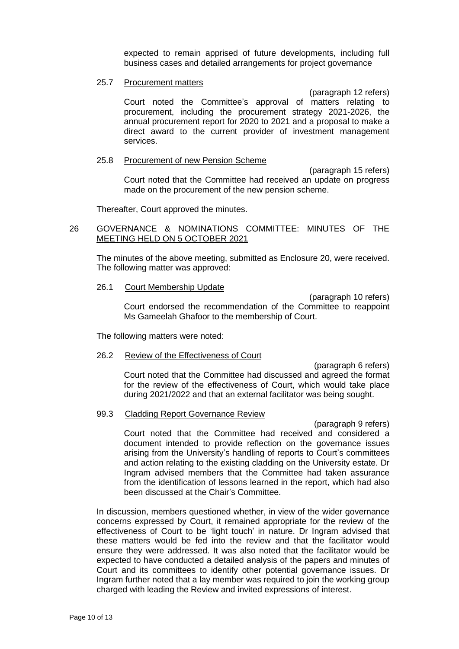expected to remain apprised of future developments, including full business cases and detailed arrangements for project governance

#### 25.7 Procurement matters

(paragraph 12 refers)

Court noted the Committee's approval of matters relating to procurement, including the procurement strategy 2021-2026, the annual procurement report for 2020 to 2021 and a proposal to make a direct award to the current provider of investment management services.

#### 25.8 Procurement of new Pension Scheme

(paragraph 15 refers) Court noted that the Committee had received an update on progress made on the procurement of the new pension scheme.

Thereafter, Court approved the minutes.

# 26 GOVERNANCE & NOMINATIONS COMMITTEE: MINUTES OF THE MEETING HELD ON 5 OCTOBER 2021

The minutes of the above meeting, submitted as Enclosure 20, were received. The following matter was approved:

### 26.1 Court Membership Update

(paragraph 10 refers) Court endorsed the recommendation of the Committee to reappoint Ms Gameelah Ghafoor to the membership of Court.

The following matters were noted:

### 26.2 Review of the Effectiveness of Court

(paragraph 6 refers) Court noted that the Committee had discussed and agreed the format for the review of the effectiveness of Court, which would take place during 2021/2022 and that an external facilitator was being sought.

### 99.3 Cladding Report Governance Review

(paragraph 9 refers) Court noted that the Committee had received and considered a document intended to provide reflection on the governance issues arising from the University's handling of reports to Court's committees and action relating to the existing cladding on the University estate. Dr Ingram advised members that the Committee had taken assurance from the identification of lessons learned in the report, which had also been discussed at the Chair's Committee.

In discussion, members questioned whether, in view of the wider governance concerns expressed by Court, it remained appropriate for the review of the effectiveness of Court to be 'light touch' in nature. Dr Ingram advised that these matters would be fed into the review and that the facilitator would ensure they were addressed. It was also noted that the facilitator would be expected to have conducted a detailed analysis of the papers and minutes of Court and its committees to identify other potential governance issues. Dr Ingram further noted that a lay member was required to join the working group charged with leading the Review and invited expressions of interest.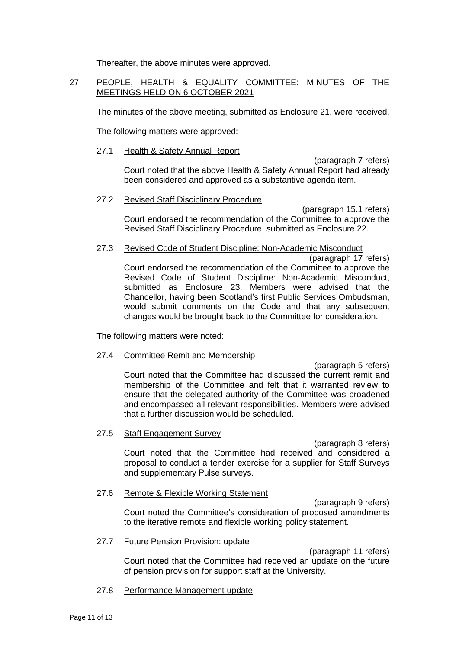Thereafter, the above minutes were approved.

# 27 PEOPLE, HEALTH & EQUALITY COMMITTEE: MINUTES OF THE MEETINGS HELD ON 6 OCTOBER 2021

The minutes of the above meeting, submitted as Enclosure 21, were received.

The following matters were approved:

## 27.1 Health & Safety Annual Report

(paragraph 7 refers) Court noted that the above Health & Safety Annual Report had already been considered and approved as a substantive agenda item.

## 27.2 Revised Staff Disciplinary Procedure

(paragraph 15.1 refers) Court endorsed the recommendation of the Committee to approve the Revised Staff Disciplinary Procedure, submitted as Enclosure 22.

# 27.3 Revised Code of Student Discipline: Non-Academic Misconduct

(paragraph 17 refers) Court endorsed the recommendation of the Committee to approve the Revised Code of Student Discipline: Non-Academic Misconduct, submitted as Enclosure 23. Members were advised that the Chancellor, having been Scotland's first Public Services Ombudsman, would submit comments on the Code and that any subsequent changes would be brought back to the Committee for consideration.

The following matters were noted:

# 27.4 Committee Remit and Membership

(paragraph 5 refers) Court noted that the Committee had discussed the current remit and membership of the Committee and felt that it warranted review to ensure that the delegated authority of the Committee was broadened and encompassed all relevant responsibilities. Members were advised that a further discussion would be scheduled.

### 27.5 Staff Engagement Survey

(paragraph 8 refers) Court noted that the Committee had received and considered a proposal to conduct a tender exercise for a supplier for Staff Surveys

### 27.6 Remote & Flexible Working Statement

and supplementary Pulse surveys.

(paragraph 9 refers) Court noted the Committee's consideration of proposed amendments to the iterative remote and flexible working policy statement.

### 27.7 Future Pension Provision: update

(paragraph 11 refers) Court noted that the Committee had received an update on the future of pension provision for support staff at the University.

27.8 Performance Management update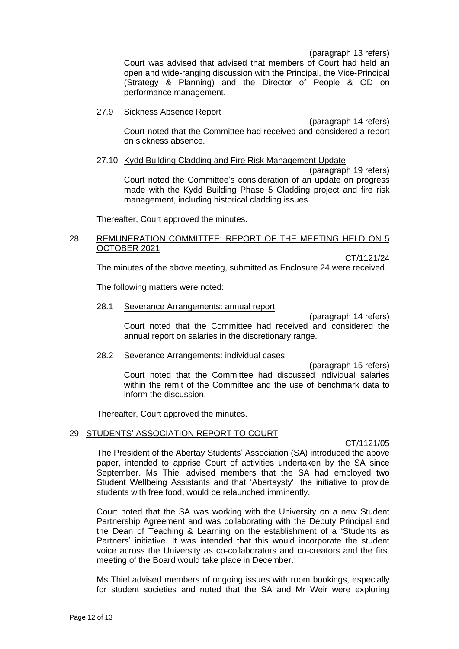(paragraph 13 refers)

Court was advised that advised that members of Court had held an open and wide-ranging discussion with the Principal, the Vice-Principal (Strategy & Planning) and the Director of People & OD on performance management.

### 27.9 Sickness Absence Report

(paragraph 14 refers) Court noted that the Committee had received and considered a report on sickness absence.

## 27.10 Kydd Building Cladding and Fire Risk Management Update

(paragraph 19 refers) Court noted the Committee's consideration of an update on progress made with the Kydd Building Phase 5 Cladding project and fire risk management, including historical cladding issues.

Thereafter, Court approved the minutes.

### 28 REMUNERATION COMMITTEE: REPORT OF THE MEETING HELD ON 5 OCTOBER 2021

CT/1121/24

The minutes of the above meeting, submitted as Enclosure 24 were received.

The following matters were noted:

### 28.1 Severance Arrangements: annual report

(paragraph 14 refers) Court noted that the Committee had received and considered the annual report on salaries in the discretionary range.

### 28.2 Severance Arrangements: individual cases

(paragraph 15 refers) Court noted that the Committee had discussed individual salaries within the remit of the Committee and the use of benchmark data to inform the discussion.

Thereafter, Court approved the minutes.

### 29 STUDENTS' ASSOCIATION REPORT TO COURT

CT/1121/05

The President of the Abertay Students' Association (SA) introduced the above paper, intended to apprise Court of activities undertaken by the SA since September. Ms Thiel advised members that the SA had employed two Student Wellbeing Assistants and that 'Abertaysty', the initiative to provide students with free food, would be relaunched imminently.

Court noted that the SA was working with the University on a new Student Partnership Agreement and was collaborating with the Deputy Principal and the Dean of Teaching & Learning on the establishment of a 'Students as Partners' initiative. It was intended that this would incorporate the student voice across the University as co-collaborators and co-creators and the first meeting of the Board would take place in December.

Ms Thiel advised members of ongoing issues with room bookings, especially for student societies and noted that the SA and Mr Weir were exploring